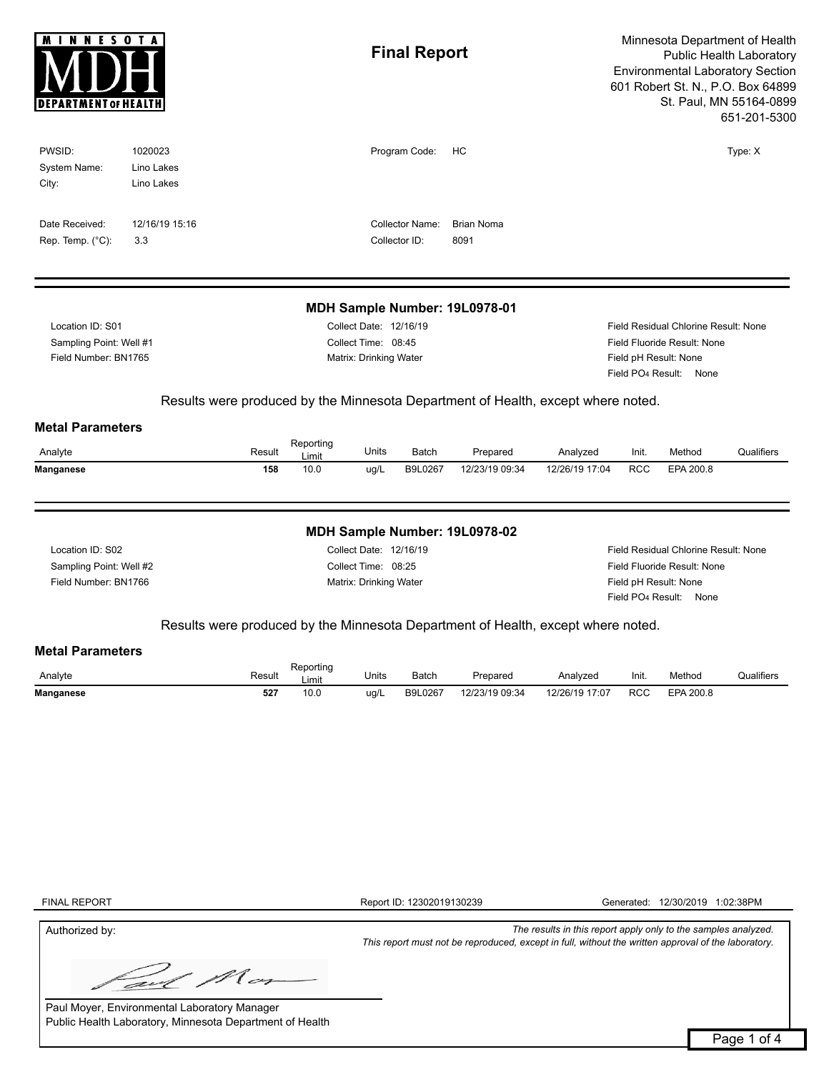| <b>MINNESOTA</b><br><b>DEPARTMENT OF HEALTH</b>                     |                                     |        |                                                                         | <b>Final Report</b> |                                                                                                                                       |                                                                                                                                    | Minnesota Department of Health<br>Public Health Laboratory<br><b>Environmental Laboratory Section</b><br>601 Robert St. N., P.O. Box 64899<br>St. Paul, MN 55164-0899<br>651-201-5300 |            |           |            |  |  |
|---------------------------------------------------------------------|-------------------------------------|--------|-------------------------------------------------------------------------|---------------------|---------------------------------------------------------------------------------------------------------------------------------------|------------------------------------------------------------------------------------------------------------------------------------|---------------------------------------------------------------------------------------------------------------------------------------------------------------------------------------|------------|-----------|------------|--|--|
| PWSID:<br>System Name:<br>City:                                     | 1020023<br>Lino Lakes<br>Lino Lakes |        |                                                                         |                     | Program Code:                                                                                                                         | HC                                                                                                                                 |                                                                                                                                                                                       |            |           | Type: X    |  |  |
| Date Received:<br>Rep. Temp. $(^{\circ}C)$ :                        | 12/16/19 15:16<br>3.3               |        |                                                                         |                     | <b>Collector Name:</b><br>Collector ID:                                                                                               | <b>Brian Noma</b><br>8091                                                                                                          |                                                                                                                                                                                       |            |           |            |  |  |
|                                                                     |                                     |        |                                                                         |                     |                                                                                                                                       | MDH Sample Number: 19L0978-01                                                                                                      |                                                                                                                                                                                       |            |           |            |  |  |
| Location ID: S01<br>Sampling Point: Well #1<br>Field Number: BN1765 |                                     |        | Collect Date: 12/16/19<br>Collect Time: 08:45<br>Matrix: Drinking Water |                     |                                                                                                                                       | Field Residual Chlorine Result: None<br>Field Fluoride Result: None<br>Field pH Result: None<br>Field PO <sub>4</sub> Result: None |                                                                                                                                                                                       |            |           |            |  |  |
| <b>Metal Parameters</b>                                             |                                     |        |                                                                         |                     |                                                                                                                                       | Results were produced by the Minnesota Department of Health, except where noted.                                                   |                                                                                                                                                                                       |            |           |            |  |  |
| Analyte                                                             |                                     | Result | Reporting<br>Limit                                                      | Units               | Batch                                                                                                                                 | Prepared                                                                                                                           | Analyzed                                                                                                                                                                              | Init.      | Method    | Qualifiers |  |  |
| <b>Manganese</b>                                                    |                                     | 158    | 10.0                                                                    | ug/L                | B9L0267                                                                                                                               | 12/23/19 09:34                                                                                                                     | 12/26/19 17:04                                                                                                                                                                        | <b>RCC</b> | EPA 200.8 |            |  |  |
|                                                                     |                                     |        |                                                                         |                     |                                                                                                                                       | MDH Sample Number: 19L0978-02                                                                                                      |                                                                                                                                                                                       |            |           |            |  |  |
| Location ID: S02<br>Sampling Point: Well #2<br>Field Number: BN1766 |                                     |        | Collect Date: 12/16/19<br>Collect Time: 08:25<br>Matrix: Drinking Water |                     | Field Residual Chlorine Result: None<br>Field Fluoride Result: None<br>Field pH Result: None<br>Field PO <sub>4</sub> Result:<br>None |                                                                                                                                    |                                                                                                                                                                                       |            |           |            |  |  |
|                                                                     |                                     |        |                                                                         |                     |                                                                                                                                       | Results were produced by the Minnesota Department of Health, except where noted.                                                   |                                                                                                                                                                                       |            |           |            |  |  |
| <b>Metal Parameters</b>                                             |                                     |        |                                                                         |                     |                                                                                                                                       |                                                                                                                                    |                                                                                                                                                                                       |            |           |            |  |  |
| Analyte                                                             |                                     | Result | Reporting<br>Limit                                                      | Units               | Batch                                                                                                                                 | Prepared                                                                                                                           | Analyzed                                                                                                                                                                              | Init.      | Method    | Qualifiers |  |  |
| <b>Manganese</b>                                                    |                                     | 527    | 10.0                                                                    | ug/L                | B9L0267                                                                                                                               | 12/23/19 09:34                                                                                                                     | 12/26/19 17:07                                                                                                                                                                        | <b>RCC</b> | EPA 200.8 |            |  |  |
|                                                                     |                                     |        |                                                                         |                     |                                                                                                                                       |                                                                                                                                    |                                                                                                                                                                                       |            |           |            |  |  |

FINAL REPORT

Report ID: 12302019130239 Generated: 12/30/2019 1:02:38PM

*This report must not be reproduced, except in full, without the written approval of the laboratory.*

Authorized by: *The results in this report apply only to the samples analyzed.*

Mor avl

Paul Moyer, Environmental Laboratory Manager Public Health Laboratory, Minnesota Department of Health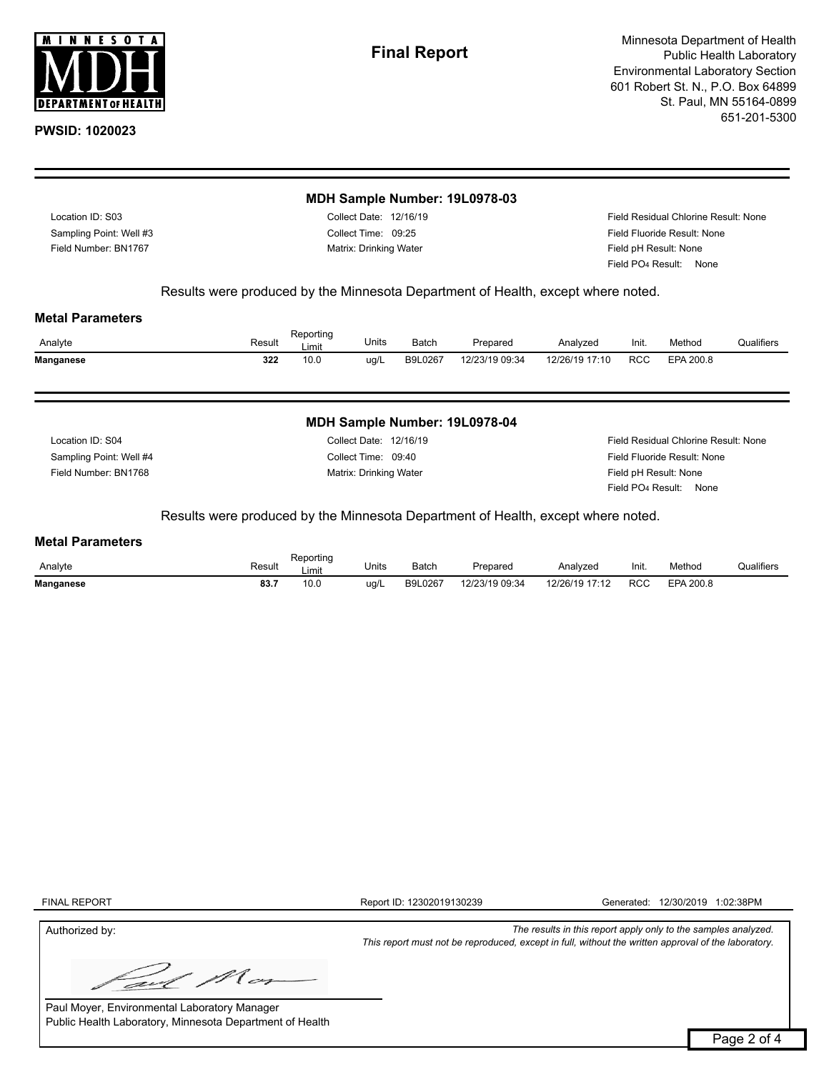

Minnesota Department of Health Public Health Laboratory Environmental Laboratory Section 601 Robert St. N., P.O. Box 64899 St. Paul, MN 55164-0899 651-201-5300

|                         | MDH Sample Number: 19L0978-03 |                                      |
|-------------------------|-------------------------------|--------------------------------------|
| Location ID: S03        | Collect Date: 12/16/19        | Field Residual Chlorine Result: None |
| Sampling Point: Well #3 | Collect Time: 09:25           | Field Fluoride Result: None          |
| Field Number: BN1767    | Matrix: Drinking Water        | Field pH Result: None                |
|                         |                               | Field PO <sub>4</sub> Result: None   |

Results were produced by the Minnesota Department of Health, except where noted.

#### **Metal Parameters**

| Analyte   | Result | Reporting<br>Limit | Units | Batch   | Prepared       | Analyzed       | Init.      | Method    | Qualifiers |
|-----------|--------|--------------------|-------|---------|----------------|----------------|------------|-----------|------------|
| Manganese | 322    | 10.0               | ua/L  | B9L0267 | 12/23/19 09:34 | 12/26/19 17:10 | <b>RCC</b> | EPA 200.8 |            |
|           |        |                    |       |         |                |                |            |           |            |

### **MDH Sample Number: 19L0978-04**

Field Number: BN1768 Sampling Point: Well #4 Location ID: S04

Collect Date: 12/16/19 Collect Time: 09:40 Matrix: Drinking Water **Field pH Result: None** 

Field Residual Chlorine Result: None Field Fluoride Result: None Field PO4 Result: None

Results were produced by the Minnesota Department of Health, except where noted.

# **Metal Parameters**

| Analyte          | Result<br>$-1 - 1$        | Reportina<br>_imıt | Units | Batch   | Prepared       | Analyzeo           | Init. | Method    | $\cdots$<br>Qualifiers |
|------------------|---------------------------|--------------------|-------|---------|----------------|--------------------|-------|-----------|------------------------|
| <b>Manganese</b> | <b>005</b><br>oo.<br>$ -$ | 10.0               | ug/l  | B9L0267 | 12/23/19 09:34 | 12/26/10<br>147.40 | RCC   | EPA 200.8 |                        |

FINAL REPORT

Report ID: 12302019130239 Generated: 12/30/2019 1:02:38PM

*This report must not be reproduced, except in full, without the written approval of the laboratory.*

Authorized by: *The results in this report apply only to the samples analyzed.*

N cs

Paul Moyer, Environmental Laboratory Manager Public Health Laboratory, Minnesota Department of Health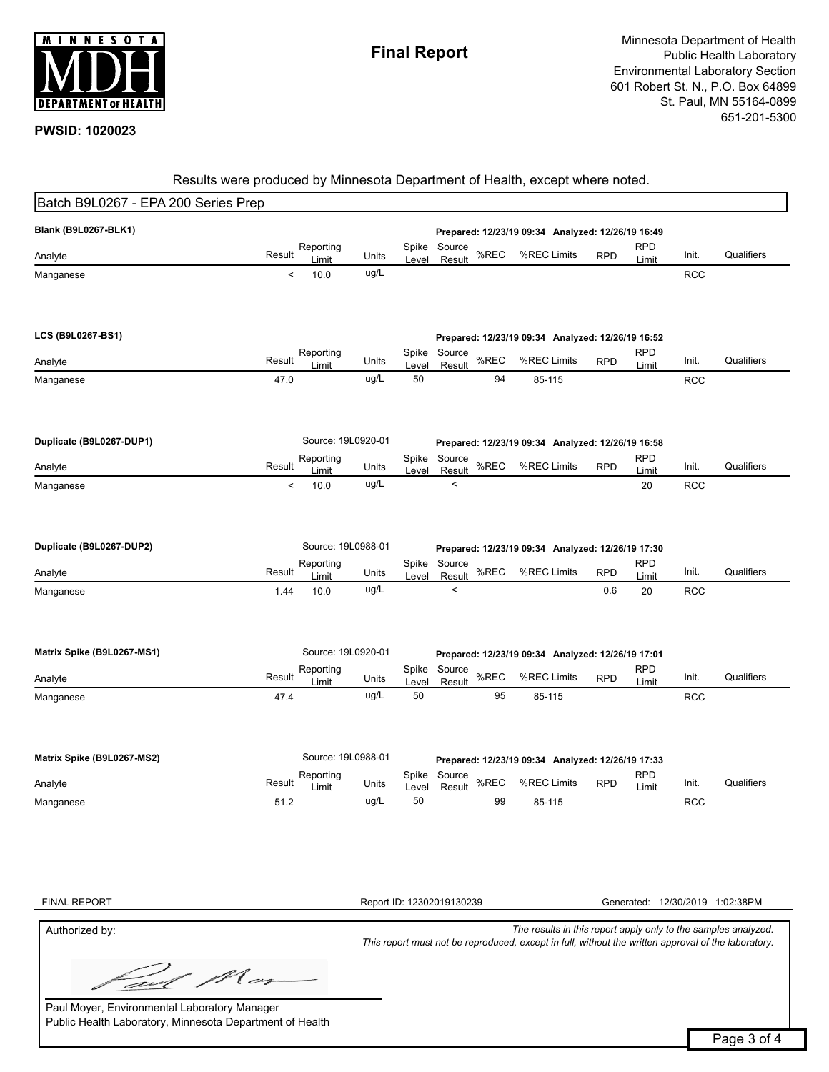

# Results were produced by Minnesota Department of Health, except where noted.

| Batch B9L0267 - EPA 200 Series Prep |        |                    |       |                |                                                   |      |                                                   |            |                     |            |                                 |
|-------------------------------------|--------|--------------------|-------|----------------|---------------------------------------------------|------|---------------------------------------------------|------------|---------------------|------------|---------------------------------|
| Blank (B9L0267-BLK1)                |        |                    |       |                |                                                   |      | Prepared: 12/23/19 09:34 Analyzed: 12/26/19 16:49 |            |                     |            |                                 |
| Analyte                             | Result | Reporting          | Units | Spike          | Source                                            | %REC | %REC Limits                                       | <b>RPD</b> | <b>RPD</b>          | Init.      | Qualifiers                      |
| Manganese                           | $\,<$  | Limit<br>10.0      | ug/L  | Level          | Result                                            |      |                                                   |            | Limit               | <b>RCC</b> |                                 |
|                                     |        |                    |       |                |                                                   |      |                                                   |            |                     |            |                                 |
|                                     |        |                    |       |                |                                                   |      |                                                   |            |                     |            |                                 |
| LCS (B9L0267-BS1)                   |        |                    |       |                |                                                   |      | Prepared: 12/23/19 09:34 Analyzed: 12/26/19 16:52 |            |                     |            |                                 |
| Analyte                             | Result | Reporting<br>Limit | Units | Spike          | Source<br>Result                                  | %REC | %REC Limits                                       | <b>RPD</b> | <b>RPD</b>          | Init.      | Qualifiers                      |
| Manganese                           | 47.0   |                    | ug/L  | Level<br>50    |                                                   | 94   | 85-115                                            |            | Limit               | <b>RCC</b> |                                 |
|                                     |        |                    |       |                |                                                   |      |                                                   |            |                     |            |                                 |
|                                     |        |                    |       |                |                                                   |      |                                                   |            |                     |            |                                 |
| Duplicate (B9L0267-DUP1)            |        | Source: 19L0920-01 |       |                |                                                   |      | Prepared: 12/23/19 09:34 Analyzed: 12/26/19 16:58 |            |                     |            |                                 |
| Analyte                             | Result | Reporting<br>Limit | Units | Spike<br>Level | Source<br>Result                                  | %REC | %REC Limits                                       | <b>RPD</b> | <b>RPD</b><br>Limit | Init.      | Qualifiers                      |
| Manganese                           | $\,<$  | 10.0               | ug/L  |                | $\,<$                                             |      |                                                   |            | 20                  | <b>RCC</b> |                                 |
|                                     |        |                    |       |                |                                                   |      |                                                   |            |                     |            |                                 |
|                                     |        |                    |       |                |                                                   |      |                                                   |            |                     |            |                                 |
| Duplicate (B9L0267-DUP2)            |        | Source: 19L0988-01 |       |                |                                                   |      | Prepared: 12/23/19 09:34 Analyzed: 12/26/19 17:30 |            |                     |            |                                 |
| Analyte                             | Result | Reporting<br>Limit | Units | Spike<br>Level | Source<br>Result                                  | %REC | %REC Limits                                       | <b>RPD</b> | <b>RPD</b><br>Limit | Init.      | Qualifiers                      |
| Manganese                           | 1.44   | 10.0               | ug/L  |                | $\,<$                                             |      |                                                   | 0.6        | 20                  | <b>RCC</b> |                                 |
|                                     |        |                    |       |                |                                                   |      |                                                   |            |                     |            |                                 |
|                                     |        |                    |       |                |                                                   |      |                                                   |            |                     |            |                                 |
| Matrix Spike (B9L0267-MS1)          |        | Source: 19L0920-01 |       |                | Prepared: 12/23/19 09:34 Analyzed: 12/26/19 17:01 |      |                                                   |            |                     |            |                                 |
| Analyte                             | Result | Reporting<br>Limit | Units | Spike<br>Level | Source<br>Result                                  | %REC | %REC Limits                                       | <b>RPD</b> | <b>RPD</b><br>Limit | Init.      | Qualifiers                      |
| Manganese                           | 47.4   |                    | ug/L  | 50             |                                                   | 95   | 85-115                                            |            |                     | <b>RCC</b> |                                 |
|                                     |        |                    |       |                |                                                   |      |                                                   |            |                     |            |                                 |
|                                     |        |                    |       |                |                                                   |      |                                                   |            |                     |            |                                 |
| Matrix Spike (B9L0267-MS2)          |        | Source: 19L0988-01 |       |                |                                                   |      | Prepared: 12/23/19 09:34 Analyzed: 12/26/19 17:33 |            |                     |            |                                 |
| Analyte                             | Result | Reporting<br>Limit | Units | Spike<br>Level | Source<br>Result                                  | %REC | %REC Limits                                       | <b>RPD</b> | <b>RPD</b><br>Limit | Init.      | Qualifiers                      |
| Manganese                           | 51.2   |                    | ug/L  | 50             |                                                   | 99   | 85-115                                            |            |                     | <b>RCC</b> |                                 |
|                                     |        |                    |       |                |                                                   |      |                                                   |            |                     |            |                                 |
|                                     |        |                    |       |                |                                                   |      |                                                   |            |                     |            |                                 |
|                                     |        |                    |       |                |                                                   |      |                                                   |            |                     |            |                                 |
|                                     |        |                    |       |                |                                                   |      |                                                   |            |                     |            |                                 |
| <b>FINAL REPORT</b>                 |        |                    |       |                | Report ID: 12302019130239                         |      |                                                   |            |                     |            | Generated: 12/30/2019 1:02:38PM |

Authorized by: *The results in this report apply only to the samples analyzed. This report must not be reproduced, except in full, without the written approval of the laboratory.*

M cr avl

Paul Moyer, Environmental Laboratory Manager Public Health Laboratory, Minnesota Department of Health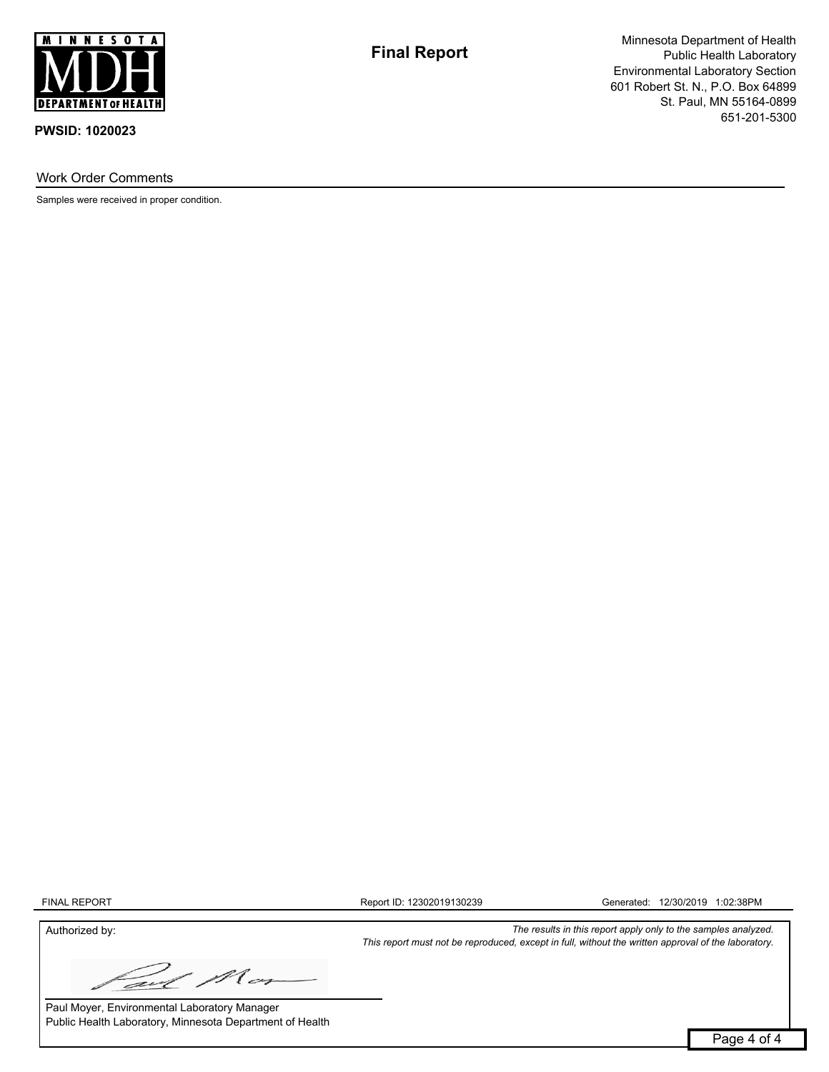

Work Order Comments

Samples were received in proper condition.

**Final Report**

Minnesota Department of Health Public Health Laboratory Environmental Laboratory Section 601 Robert St. N., P.O. Box 64899 St. Paul, MN 55164-0899 651-201-5300

FINAL REPORT

Report ID: 12302019130239 Generated: 12/30/2019 1:02:38PM

*This report must not be reproduced, except in full, without the written approval of the laboratory.*

Authorized by: *The results in this report apply only to the samples analyzed.*

M cn avl

Paul Moyer, Environmental Laboratory Manager Public Health Laboratory, Minnesota Department of Health

Page 4 of 4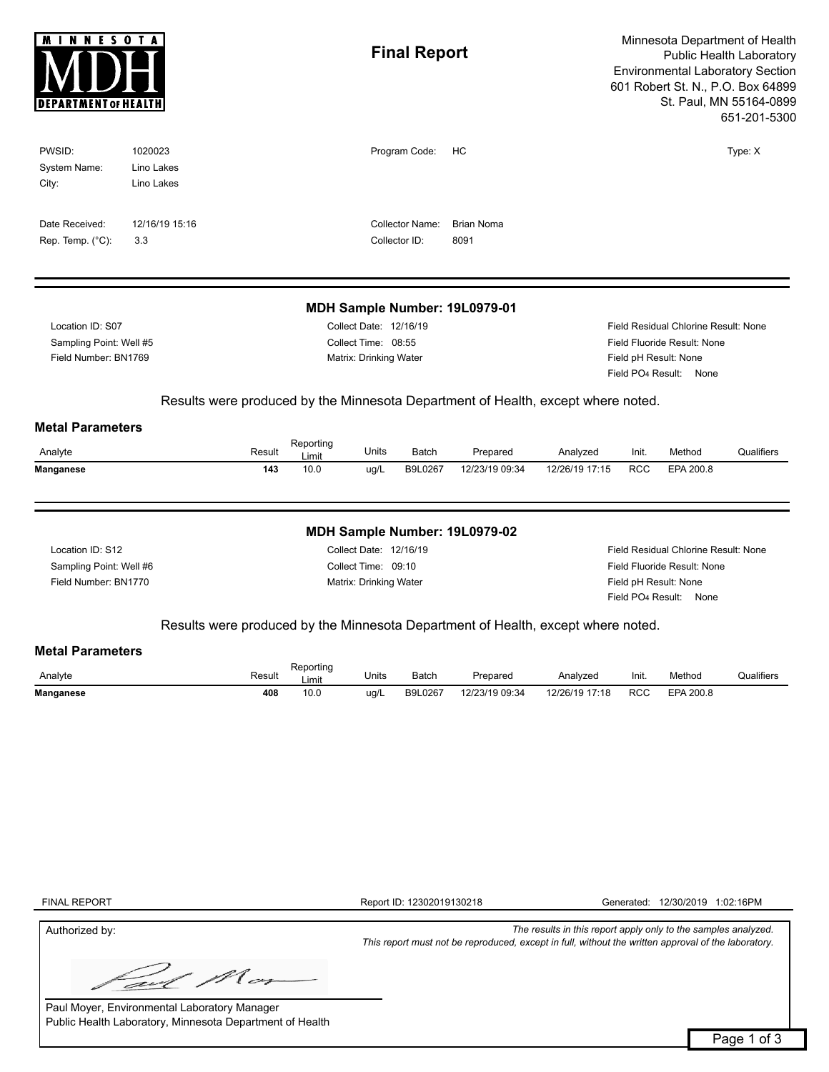| <b>DEPARTMENT OF HEALTH</b> |                       |        |                    |                        | <b>Final Report</b>    |                                                                                  | Minnesota Department of Health<br>Public Health Laboratory<br><b>Environmental Laboratory Section</b><br>601 Robert St. N., P.O. Box 64899<br>St. Paul, MN 55164-0899<br>651-201-5300 |                               |                                                             |            |  |  |
|-----------------------------|-----------------------|--------|--------------------|------------------------|------------------------|----------------------------------------------------------------------------------|---------------------------------------------------------------------------------------------------------------------------------------------------------------------------------------|-------------------------------|-------------------------------------------------------------|------------|--|--|
| PWSID:<br>System Name:      | 1020023<br>Lino Lakes |        |                    |                        | Program Code:          | HC                                                                               |                                                                                                                                                                                       |                               |                                                             | Type: X    |  |  |
| City:                       | Lino Lakes            |        |                    |                        |                        |                                                                                  |                                                                                                                                                                                       |                               |                                                             |            |  |  |
| Date Received:              | 12/16/19 15:16        |        |                    |                        | <b>Collector Name:</b> | <b>Brian Noma</b>                                                                |                                                                                                                                                                                       |                               |                                                             |            |  |  |
| Rep. Temp. $(^{\circ}C)$ :  | 3.3                   |        |                    |                        | Collector ID:          | 8091                                                                             |                                                                                                                                                                                       |                               |                                                             |            |  |  |
|                             |                       |        |                    |                        |                        | MDH Sample Number: 19L0979-01                                                    |                                                                                                                                                                                       |                               |                                                             |            |  |  |
| Location ID: S07            |                       |        |                    | Collect Date: 12/16/19 |                        |                                                                                  |                                                                                                                                                                                       |                               | Field Residual Chlorine Result: None                        |            |  |  |
| Sampling Point: Well #5     |                       |        |                    | Collect Time: 08:55    |                        | Field Fluoride Result: None                                                      |                                                                                                                                                                                       |                               |                                                             |            |  |  |
| Field Number: BN1769        |                       |        |                    | Matrix: Drinking Water |                        |                                                                                  |                                                                                                                                                                                       |                               | Field pH Result: None<br>Field PO <sub>4</sub> Result: None |            |  |  |
|                             |                       |        |                    |                        |                        |                                                                                  |                                                                                                                                                                                       |                               |                                                             |            |  |  |
|                             |                       |        |                    |                        |                        | Results were produced by the Minnesota Department of Health, except where noted. |                                                                                                                                                                                       |                               |                                                             |            |  |  |
| <b>Metal Parameters</b>     |                       |        |                    |                        |                        |                                                                                  |                                                                                                                                                                                       |                               |                                                             |            |  |  |
| Analyte                     |                       | Result | Reporting<br>Limit | Units                  | Batch                  | Prepared                                                                         | Analyzed                                                                                                                                                                              | Init.                         | Method                                                      | Qualifiers |  |  |
| <b>Manganese</b>            |                       | 143    | 10.0               | ug/L                   | B9L0267                | 12/23/19 09:34                                                                   | 12/26/19 17:15                                                                                                                                                                        | <b>RCC</b>                    | EPA 200.8                                                   |            |  |  |
|                             |                       |        |                    |                        |                        | MDH Sample Number: 19L0979-02                                                    |                                                                                                                                                                                       |                               |                                                             |            |  |  |
| Location ID: S12            |                       |        |                    | Collect Date: 12/16/19 |                        |                                                                                  |                                                                                                                                                                                       |                               | Field Residual Chlorine Result: None                        |            |  |  |
| Sampling Point: Well #6     |                       |        |                    | Collect Time: 09:10    |                        |                                                                                  |                                                                                                                                                                                       |                               | Field Fluoride Result: None                                 |            |  |  |
| Field Number: BN1770        |                       |        |                    | Matrix: Drinking Water |                        |                                                                                  |                                                                                                                                                                                       |                               | Field pH Result: None                                       |            |  |  |
|                             |                       |        |                    |                        |                        |                                                                                  |                                                                                                                                                                                       | Field PO <sub>4</sub> Result: | None                                                        |            |  |  |
|                             |                       |        |                    |                        |                        | Results were produced by the Minnesota Department of Health, except where noted. |                                                                                                                                                                                       |                               |                                                             |            |  |  |
| <b>Metal Parameters</b>     |                       |        |                    |                        |                        |                                                                                  |                                                                                                                                                                                       |                               |                                                             |            |  |  |
| Analyte                     |                       | Result | Reporting          | Units                  | Batch                  | Prepared                                                                         | Analyzed                                                                                                                                                                              | Init.                         | Method                                                      | Qualifiers |  |  |
| <b>Manganese</b>            |                       | 408    | Limit<br>10.0      | ug/L                   | B9L0267                | 12/23/19 09:34                                                                   | 12/26/19 17:18                                                                                                                                                                        | <b>RCC</b>                    | EPA 200.8                                                   |            |  |  |
|                             |                       |        |                    |                        |                        |                                                                                  |                                                                                                                                                                                       |                               |                                                             |            |  |  |
|                             |                       |        |                    |                        |                        |                                                                                  |                                                                                                                                                                                       |                               |                                                             |            |  |  |
|                             |                       |        |                    |                        |                        |                                                                                  |                                                                                                                                                                                       |                               |                                                             |            |  |  |

FINAL REPORT

Report ID: 12302019130218 Generated: 12/30/2019 1:02:16PM

*This report must not be reproduced, except in full, without the written approval of the laboratory.*

Authorized by: *The results in this report apply only to the samples analyzed.*

Mor avl

Paul Moyer, Environmental Laboratory Manager Public Health Laboratory, Minnesota Department of Health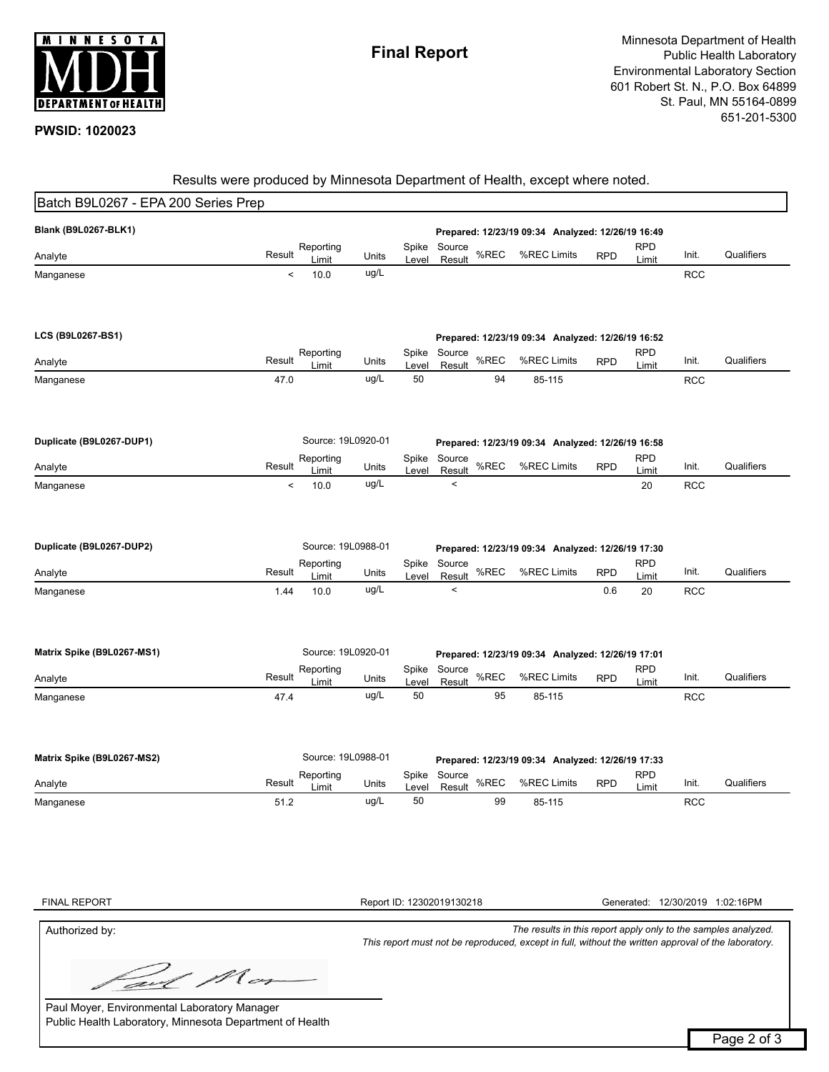

# Results were produced by Minnesota Department of Health, except where noted.

| Batch B9L0267 - EPA 200 Series Prep |        |                    |               |                |                                                   |      |                                                   |            |                     |            |                                 |
|-------------------------------------|--------|--------------------|---------------|----------------|---------------------------------------------------|------|---------------------------------------------------|------------|---------------------|------------|---------------------------------|
| Blank (B9L0267-BLK1)                |        |                    |               |                |                                                   |      | Prepared: 12/23/19 09:34 Analyzed: 12/26/19 16:49 |            |                     |            |                                 |
|                                     |        | Reporting          |               | Spike          | Source                                            |      |                                                   |            | <b>RPD</b>          |            |                                 |
| Analyte                             | Result | Limit              | Units         | Level          | Result                                            | %REC | %REC Limits                                       | <b>RPD</b> | Limit               | Init.      | Qualifiers                      |
| Manganese                           | $\,<$  | 10.0               | ug/L          |                |                                                   |      |                                                   |            |                     | <b>RCC</b> |                                 |
|                                     |        |                    |               |                |                                                   |      |                                                   |            |                     |            |                                 |
| LCS (B9L0267-BS1)                   |        |                    |               |                |                                                   |      | Prepared: 12/23/19 09:34 Analyzed: 12/26/19 16:52 |            |                     |            |                                 |
|                                     |        | Reporting          |               | Spike          | Source                                            |      |                                                   |            | <b>RPD</b>          |            |                                 |
| Analyte                             | Result | Limit              | Units         | Level          | Result                                            | %REC | %REC Limits                                       | <b>RPD</b> | Limit               | Init.      | Qualifiers                      |
| Manganese                           | 47.0   |                    | ug/L          | 50             |                                                   | 94   | 85-115                                            |            |                     | <b>RCC</b> |                                 |
| Duplicate (B9L0267-DUP1)            |        | Source: 19L0920-01 |               |                |                                                   |      | Prepared: 12/23/19 09:34 Analyzed: 12/26/19 16:58 |            |                     |            |                                 |
|                                     |        | Reporting          |               | Spike          | Source                                            |      |                                                   |            | <b>RPD</b>          |            |                                 |
| Analyte                             | Result | Limit              | Units         | Level          | Result                                            | %REC | %REC Limits                                       | <b>RPD</b> | Limit               | Init.      | Qualifiers                      |
| Manganese                           | $\,<$  | 10.0               | ug/L          |                | $\,<$                                             |      |                                                   |            | 20                  | <b>RCC</b> |                                 |
|                                     |        |                    |               |                |                                                   |      |                                                   |            |                     |            |                                 |
| Duplicate (B9L0267-DUP2)            |        | Source: 19L0988-01 |               |                |                                                   |      | Prepared: 12/23/19 09:34 Analyzed: 12/26/19 17:30 |            |                     |            |                                 |
| Analyte                             | Result | Reporting<br>Limit | Units         | Spike<br>Level | Source<br>Result                                  | %REC | %REC Limits                                       | <b>RPD</b> | <b>RPD</b><br>Limit | Init.      | Qualifiers                      |
| Manganese                           | 1.44   | 10.0               | ug/L          |                | $\,<$                                             |      |                                                   | 0.6        | 20                  | <b>RCC</b> |                                 |
| Matrix Spike (B9L0267-MS1)          |        | Source: 19L0920-01 |               |                |                                                   |      | Prepared: 12/23/19 09:34 Analyzed: 12/26/19 17:01 |            |                     |            |                                 |
|                                     |        | Reporting          |               | Spike          | Source                                            |      |                                                   |            | <b>RPD</b>          |            |                                 |
| Analyte                             | Result | Limit              | Units         | Level          | Result                                            | %REC | %REC Limits                                       | <b>RPD</b> | Limit               | Init.      | Qualifiers                      |
| Manganese                           | 47.4   |                    | ug/L          | 50             |                                                   | 95   | 85-115                                            |            |                     | <b>RCC</b> |                                 |
| Matrix Spike (B9L0267-MS2)          |        | Source: 19L0988-01 |               |                | Prepared: 12/23/19 09:34 Analyzed: 12/26/19 17:33 |      |                                                   |            |                     |            |                                 |
|                                     | Result | Reporting          |               | Spike          | Source                                            | %REC | %REC Limits                                       |            | <b>RPD</b>          | Init.      | Qualifiers                      |
| Analyte                             |        | Limit              | Units<br>ug/L | Level<br>50    | Result                                            | 99   |                                                   | <b>RPD</b> | Limit               |            |                                 |
| Manganese                           | 51.2   |                    |               |                |                                                   |      | 85-115                                            |            |                     | <b>RCC</b> |                                 |
|                                     |        |                    |               |                |                                                   |      |                                                   |            |                     |            |                                 |
|                                     |        |                    |               |                |                                                   |      |                                                   |            |                     |            |                                 |
|                                     |        |                    |               |                |                                                   |      |                                                   |            |                     |            |                                 |
|                                     |        |                    |               |                |                                                   |      |                                                   |            |                     |            |                                 |
| <b>FINAL REPORT</b>                 |        |                    |               |                | Report ID: 12302019130218                         |      |                                                   |            |                     |            | Generated: 12/30/2019 1:02:16PM |

Authorized by: *The results in this report apply only to the samples analyzed.*

*This report must not be reproduced, except in full, without the written approval of the laboratory.*

M cr avl

Paul Moyer, Environmental Laboratory Manager Public Health Laboratory, Minnesota Department of Health